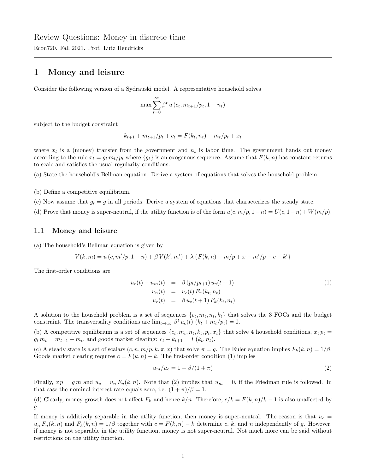## 1 Money and leisure

Consider the following version of a Sydrauski model. A representative household solves

$$
\max \sum_{t=0}^{\infty} \beta^t u(c_t, m_{t+1}/p_t, 1 - n_t)
$$

subject to the budget constraint

$$
k_{t+1} + m_{t+1}/p_t + c_t = F(k_t, n_t) + m_t/p_t + x_t
$$

where  $x_t$  is a (money) transfer from the government and  $n_t$  is labor time. The government hands out money according to the rule  $x_t = g_t m_t / p_t$  where  $\{g_t\}$  is an exogenous sequence. Assume that  $F(k, n)$  has constant returns to scale and satisfies the usual regularity conditions.

(a) State the household's Bellman equation. Derive a system of equations that solves the household problem.

(b) Define a competitive equilibrium.

(c) Now assume that  $g_t = g$  in all periods. Derive a system of equations that characterizes the steady state.

(d) Prove that money is super-neutral, if the utility function is of the form  $u(c, m/p, 1-n) = U(c, 1-n) + W(m/p)$ .

## 1.1 Money and leisure

(a) The household's Bellman equation is given by

$$
V(k,m) = u(c, m'/p, 1 - n) + \beta V(k',m') + \lambda \{F(k,n) + m/p + x - m'/p - c - k'\}
$$

The first-order conditions are

$$
u_c(t) - u_m(t) = \beta (p_t/p_{t+1}) u_c(t+1)
$$
  
\n
$$
u_n(t) = u_c(t) F_n(k_t, n_t)
$$
  
\n
$$
u_c(t) = \beta u_c(t+1) F_k(k_t, n_t)
$$
\n(1)

A solution to the household problem is a set of sequences  $\{c_t, m_t, n_t, k_t\}$  that solves the 3 FOCs and the budget constraint. The transversality conditions are  $\lim_{t\to\infty} \beta^t u_c(t)$   $(k_t + m_t/p_t) = 0$ .

(b) A competitive equilibrium is a set of sequences  $\{c_t, m_t, n_t, k_t, p_t, x_t\}$  that solve 4 household conditions,  $x_t p_t =$  $g_t m_t = m_{t+1} - m_t$ , and goods market clearing:  $c_t + k_{t+1} = F(k_t, n_t)$ .

(c) A steady state is a set of scalars  $(c, n, m/p, k, \pi, x)$  that solve  $\pi = q$ . The Euler equation implies  $F_k(k, n) = 1/\beta$ . Goods market clearing requires  $c = F(k, n) - k$ . The first-order condition (1) implies

$$
u_m/u_c = 1 - \beta/(1 + \pi) \tag{2}
$$

Finally,  $x p = g m$  and  $u_c = u_n F_n(k, n)$ . Note that (2) implies that  $u_m = 0$ , if the Friedman rule is followed. In that case the nominal interest rate equals zero, i.e.  $(1 + \pi)/\beta = 1$ .

(d) Clearly, money growth does not affect  $F_k$  and hence  $k/n$ . Therefore,  $c/k = F(k,n)/k - 1$  is also unaffected by g.

If money is additively separable in the utility function, then money is super-neutral. The reason is that  $u_c =$  $u_n F_n(k,n)$  and  $F_k(k,n) = 1/\beta$  together with  $c = F(k,n) - k$  determine c, k, and n independently of g. However, if money is not separable in the utility function, money is not super-neutral. Not much more can be said without restrictions on the utility function.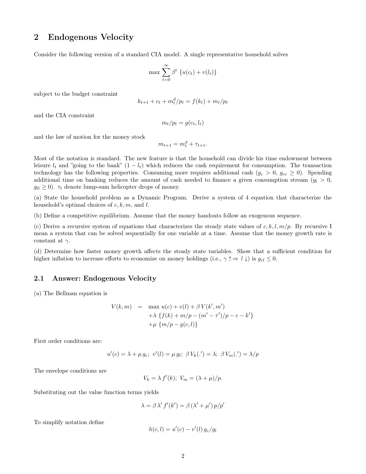## 2 Endogenous Velocity

Consider the following version of a standard CIA model. A single representative household solves

$$
\max \sum_{t=0}^{\infty} \beta^t \left\{ u(c_t) + v(l_t) \right\}
$$

subject to the budget constraint

$$
k_{t+1} + c_t + m_t^d / p_t = f(k_t) + m_t / p_t
$$

and the CIA constraint

$$
m_t/p_t = g(c_t, l_t)
$$

and the law of motion for the money stock

$$
m_{t+1} = m_t^d + \tau_{t+1}.
$$

Most of the notation is standard. The new feature is that the household can divide his time endowment between leisure  $l_t$  and "going to the bank"  $(1 - l_t)$  which reduces the cash requirement for consumption. The transaction technology has the following properties. Consuming more requires additional cash  $(g_c > 0, g_{cc} \ge 0)$ . Spending additional time on banking reduces the amount of cash needed to finance a given consumption stream  $(q_l > 0,$  $g_{ll} \geq 0$ ).  $\tau_t$  denote lump-sum helicopter drops of money.

(a) State the household problem as a Dynamic Program. Derive a system of 4 equation that characterize the household's optimal choices of  $c, k, m$ , and l.

(b) Define a competitive equilibrium. Assume that the money handouts follow an exogenous sequence.

(c) Derive a recursive system of equations that characterizes the steady state values of  $c, k, l, m/p$ . By recursive I mean a system that can be solved sequentially for one variable at a time. Assume that the money growth rate is constant at  $\gamma$ .

(d) Determine how faster money growth affects the steady state variables. Show that a sufficient condition for higher inflation to increase efforts to economize on money holdings (i.e.,  $\gamma \uparrow \Rightarrow l \downarrow$ ) is  $g_{cl} \leq 0$ .

## 2.1 Answer: Endogenous Velocity

(a) The Bellman equation is

$$
V(k, m) = \max u(c) + v(l) + \beta V(k', m')+ \lambda \{f(k) + m/p - (m' - \tau')/p - c - k'\}+ \mu \{m/p - g(c, l)\}
$$

First order conditions are:

$$
u'(c) = \lambda + \mu g_c; \ v'(l) = \mu g_l; \ \beta V_k(.') = \lambda; \ \beta V_m(.') = \lambda/p
$$

The envelope conditions are

$$
V_k = \lambda f'(k); \ V_m = (\lambda + \mu)/p.
$$

Substituting out the value function terms yields

$$
\lambda = \beta \lambda' f'(k') = \beta (\lambda' + \mu') p/p'
$$

To simplify notation define

$$
h(c, l) = u'(c) - v'(l) g_c/g_l
$$